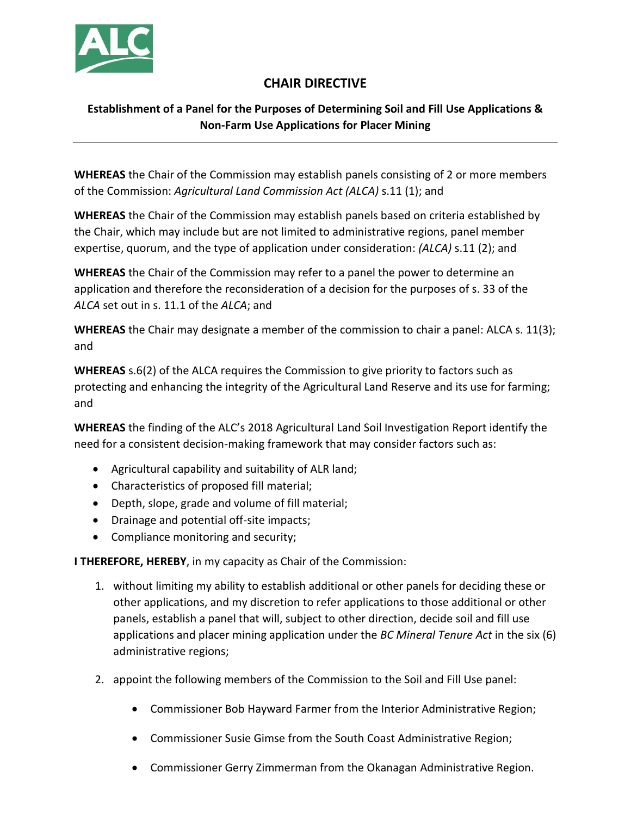

## **CHAIR DIRECTIVE**

## **Establishment of a Panel for the Purposes of Determining Soil and Fill Use Applications & Non-Farm Use Applications for Placer Mining**

**WHEREAS** the Chair of the Commission may establish panels consisting of 2 or more members of the Commission: *Agricultural Land Commission Act (ALCA)* s.11 (1); and

**WHEREAS** the Chair of the Commission may establish panels based on criteria established by the Chair, which may include but are not limited to administrative regions, panel member expertise, quorum, and the type of application under consideration: *(ALCA)* s.11 (2); and

**WHEREAS** the Chair of the Commission may refer to a panel the power to determine an application and therefore the reconsideration of a decision for the purposes of s. 33 of the *ALCA* set out in s. 11.1 of the *ALCA*; and

**WHEREAS** the Chair may designate a member of the commission to chair a panel: ALCA s. 11(3); and

**WHEREAS** s.6(2) of the ALCA requires the Commission to give priority to factors such as protecting and enhancing the integrity of the Agricultural Land Reserve and its use for farming; and

**WHEREAS** the finding of the ALC's 2018 Agricultural Land Soil Investigation Report identify the need for a consistent decision-making framework that may consider factors such as:

- Agricultural capability and suitability of ALR land;
- Characteristics of proposed fill material;
- Depth, slope, grade and volume of fill material;
- Drainage and potential off-site impacts;
- Compliance monitoring and security;

**I THEREFORE, HEREBY**, in my capacity as Chair of the Commission:

- 1. without limiting my ability to establish additional or other panels for deciding these or other applications, and my discretion to refer applications to those additional or other panels, establish a panel that will, subject to other direction, decide soil and fill use applications and placer mining application under the *BC Mineral Tenure Act* in the six (6) administrative regions;
- 2. appoint the following members of the Commission to the Soil and Fill Use panel:
	- Commissioner Bob Hayward Farmer from the Interior Administrative Region;
	- Commissioner Susie Gimse from the South Coast Administrative Region;
	- Commissioner Gerry Zimmerman from the Okanagan Administrative Region.